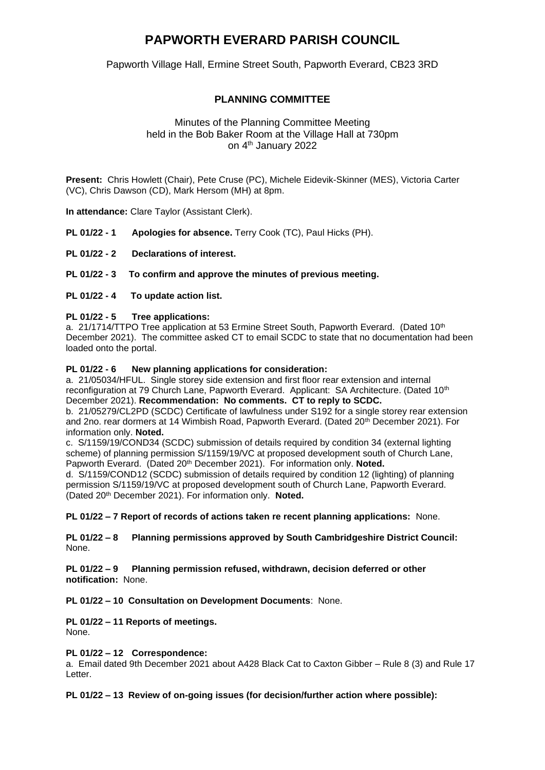# **PAPWORTH EVERARD PARISH COUNCIL**

Papworth Village Hall, Ermine Street South, Papworth Everard, CB23 3RD

# **PLANNING COMMITTEE**

## Minutes of the Planning Committee Meeting held in the Bob Baker Room at the Village Hall at 730pm on 4<sup>th</sup> January 2022

**Present:** Chris Howlett (Chair), Pete Cruse (PC), Michele Eidevik-Skinner (MES), Victoria Carter (VC), Chris Dawson (CD), Mark Hersom (MH) at 8pm.

**In attendance:** Clare Taylor (Assistant Clerk).

**PL 01/22 - 1 Apologies for absence.** Terry Cook (TC), Paul Hicks (PH).

- **PL 01/22 - 2 Declarations of interest.**
- **PL 01/22 - 3 To confirm and approve the minutes of previous meeting.**
- **PL 01/22 - 4 To update action list.**

### **PL 01/22 - 5 Tree applications:**

a. 21/1714/TTPO Tree application at 53 Ermine Street South, Papworth Everard. (Dated 10th December 2021). The committee asked CT to email SCDC to state that no documentation had been loaded onto the portal.

#### **PL 01/22 - 6 New planning applications for consideration:**

a. 21/05034/HFUL. Single storey side extension and first floor rear extension and internal reconfiguration at 79 Church Lane, Papworth Everard. Applicant: SA Architecture. (Dated 10<sup>th</sup>) December 2021). **Recommendation: No comments. CT to reply to SCDC.**

b. 21/05279/CL2PD (SCDC) Certificate of lawfulness under S192 for a single storey rear extension and 2no. rear dormers at 14 Wimbish Road, Papworth Everard. (Dated 20<sup>th</sup> December 2021). For information only. **Noted.**

c. S/1159/19/COND34 (SCDC) submission of details required by condition 34 (external lighting scheme) of planning permission S/1159/19/VC at proposed development south of Church Lane, Papworth Everard. (Dated 20<sup>th</sup> December 2021). For information only. Noted.

d. S/1159/COND12 (SCDC) submission of details required by condition 12 (lighting) of planning permission S/1159/19/VC at proposed development south of Church Lane, Papworth Everard. (Dated 20th December 2021). For information only. **Noted.**

**PL 01/22 – 7 Report of records of actions taken re recent planning applications:** None.

**PL 01/22 – 8 Planning permissions approved by South Cambridgeshire District Council:**  None.

**PL 01/22 – 9 Planning permission refused, withdrawn, decision deferred or other notification:** None.

**PL 01/22 – 10 Consultation on Development Documents**: None.

# **PL 01/22 – 11 Reports of meetings.**

None.

#### **PL 01/22 – 12 Correspondence:**

a. Email dated 9th December 2021 about A428 Black Cat to Caxton Gibber – Rule 8 (3) and Rule 17 Letter.

**PL 01/22 – 13 Review of on-going issues (for decision/further action where possible):**